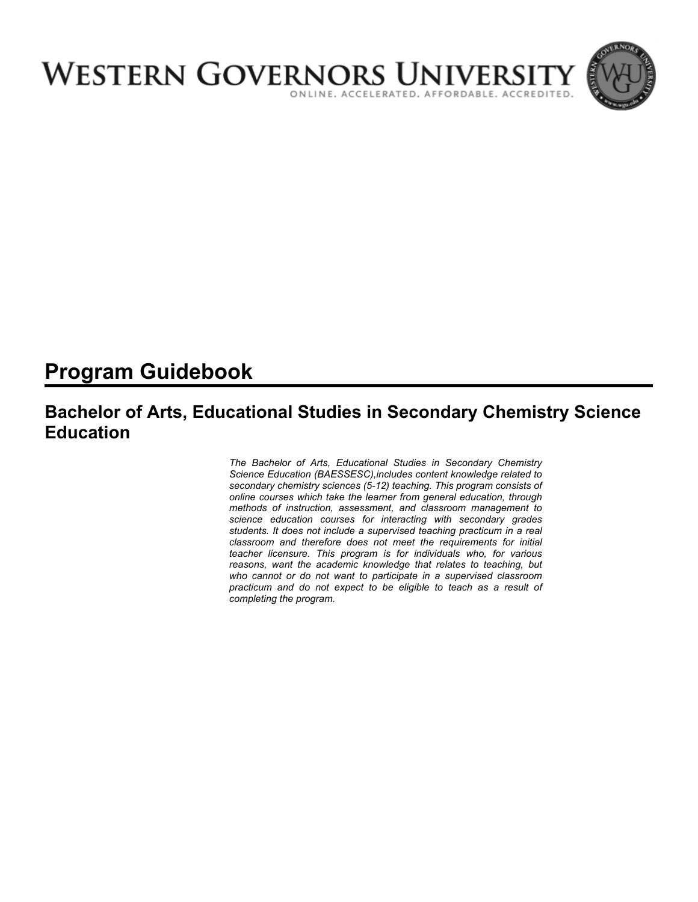

# **Program Guidebook**

## **Bachelor of Arts, Educational Studies in Secondary Chemistry Science Education**

*The Bachelor of Arts, Educational Studies in Secondary Chemistry Science Education (BAESSESC),includes content knowledge related to secondary chemistry sciences (5-12) teaching. This program consists of online courses which take the learner from general education, through methods of instruction, assessment, and classroom management to science education courses for interacting with secondary grades students. It does not include a supervised teaching practicum in a real classroom and therefore does not meet the requirements for initial teacher licensure. This program is for individuals who, for various reasons, want the academic knowledge that relates to teaching, but who cannot or do not want to participate in a supervised classroom practicum and do not expect to be eligible to teach as a result of completing the program.*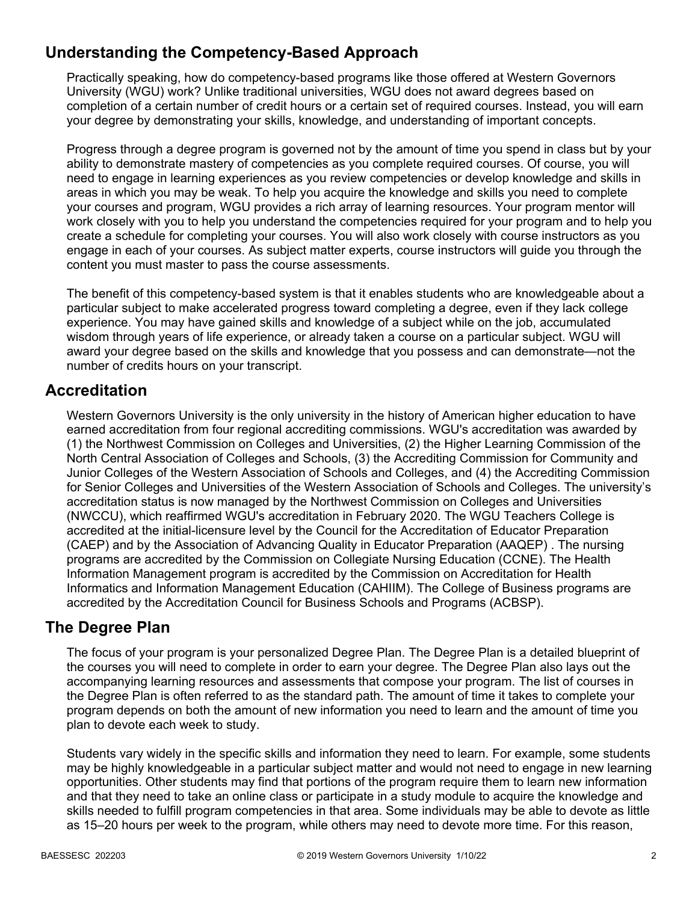## **Understanding the Competency-Based Approach**

Practically speaking, how do competency-based programs like those offered at Western Governors University (WGU) work? Unlike traditional universities, WGU does not award degrees based on completion of a certain number of credit hours or a certain set of required courses. Instead, you will earn your degree by demonstrating your skills, knowledge, and understanding of important concepts.

Progress through a degree program is governed not by the amount of time you spend in class but by your ability to demonstrate mastery of competencies as you complete required courses. Of course, you will need to engage in learning experiences as you review competencies or develop knowledge and skills in areas in which you may be weak. To help you acquire the knowledge and skills you need to complete your courses and program, WGU provides a rich array of learning resources. Your program mentor will work closely with you to help you understand the competencies required for your program and to help you create a schedule for completing your courses. You will also work closely with course instructors as you engage in each of your courses. As subject matter experts, course instructors will guide you through the content you must master to pass the course assessments.

The benefit of this competency-based system is that it enables students who are knowledgeable about a particular subject to make accelerated progress toward completing a degree, even if they lack college experience. You may have gained skills and knowledge of a subject while on the job, accumulated wisdom through years of life experience, or already taken a course on a particular subject. WGU will award your degree based on the skills and knowledge that you possess and can demonstrate—not the number of credits hours on your transcript.

## **Accreditation**

Western Governors University is the only university in the history of American higher education to have earned accreditation from four regional accrediting commissions. WGU's accreditation was awarded by (1) the Northwest Commission on Colleges and Universities, (2) the Higher Learning Commission of the North Central Association of Colleges and Schools, (3) the Accrediting Commission for Community and Junior Colleges of the Western Association of Schools and Colleges, and (4) the Accrediting Commission for Senior Colleges and Universities of the Western Association of Schools and Colleges. The university's accreditation status is now managed by the Northwest Commission on Colleges and Universities (NWCCU), which reaffirmed WGU's accreditation in February 2020. The WGU Teachers College is accredited at the initial-licensure level by the Council for the Accreditation of Educator Preparation (CAEP) and by the Association of Advancing Quality in Educator Preparation (AAQEP) . The nursing programs are accredited by the Commission on Collegiate Nursing Education (CCNE). The Health Information Management program is accredited by the Commission on Accreditation for Health Informatics and Information Management Education (CAHIIM). The College of Business programs are accredited by the Accreditation Council for Business Schools and Programs (ACBSP).

## **The Degree Plan**

The focus of your program is your personalized Degree Plan. The Degree Plan is a detailed blueprint of the courses you will need to complete in order to earn your degree. The Degree Plan also lays out the accompanying learning resources and assessments that compose your program. The list of courses in the Degree Plan is often referred to as the standard path. The amount of time it takes to complete your program depends on both the amount of new information you need to learn and the amount of time you plan to devote each week to study.

Students vary widely in the specific skills and information they need to learn. For example, some students may be highly knowledgeable in a particular subject matter and would not need to engage in new learning opportunities. Other students may find that portions of the program require them to learn new information and that they need to take an online class or participate in a study module to acquire the knowledge and skills needed to fulfill program competencies in that area. Some individuals may be able to devote as little as 15–20 hours per week to the program, while others may need to devote more time. For this reason,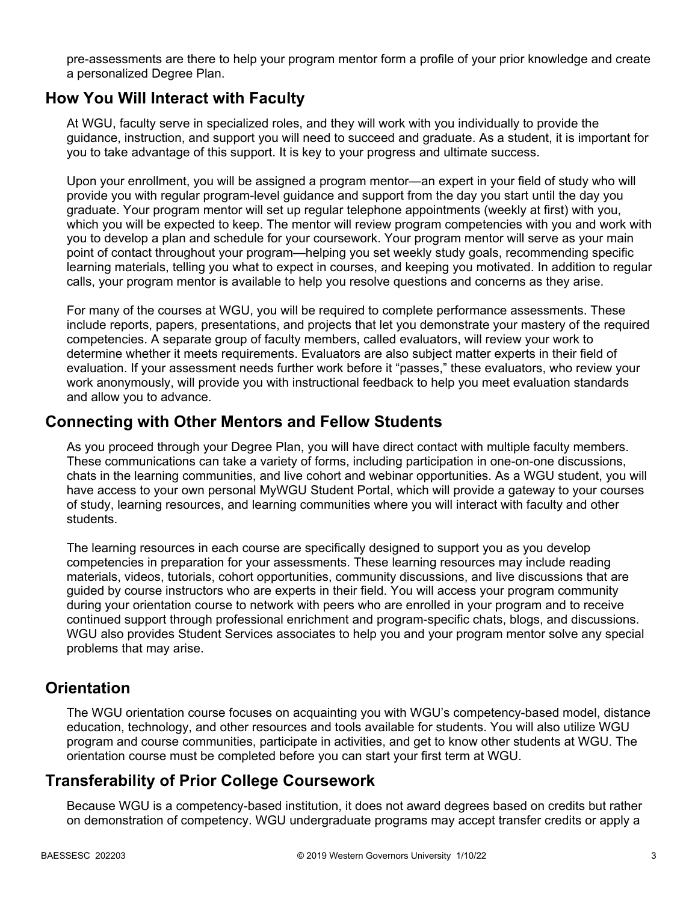pre-assessments are there to help your program mentor form a profile of your prior knowledge and create a personalized Degree Plan.

### **How You Will Interact with Faculty**

At WGU, faculty serve in specialized roles, and they will work with you individually to provide the guidance, instruction, and support you will need to succeed and graduate. As a student, it is important for you to take advantage of this support. It is key to your progress and ultimate success.

Upon your enrollment, you will be assigned a program mentor—an expert in your field of study who will provide you with regular program-level guidance and support from the day you start until the day you graduate. Your program mentor will set up regular telephone appointments (weekly at first) with you, which you will be expected to keep. The mentor will review program competencies with you and work with you to develop a plan and schedule for your coursework. Your program mentor will serve as your main point of contact throughout your program—helping you set weekly study goals, recommending specific learning materials, telling you what to expect in courses, and keeping you motivated. In addition to regular calls, your program mentor is available to help you resolve questions and concerns as they arise.

For many of the courses at WGU, you will be required to complete performance assessments. These include reports, papers, presentations, and projects that let you demonstrate your mastery of the required competencies. A separate group of faculty members, called evaluators, will review your work to determine whether it meets requirements. Evaluators are also subject matter experts in their field of evaluation. If your assessment needs further work before it "passes," these evaluators, who review your work anonymously, will provide you with instructional feedback to help you meet evaluation standards and allow you to advance.

### **Connecting with Other Mentors and Fellow Students**

As you proceed through your Degree Plan, you will have direct contact with multiple faculty members. These communications can take a variety of forms, including participation in one-on-one discussions, chats in the learning communities, and live cohort and webinar opportunities. As a WGU student, you will have access to your own personal MyWGU Student Portal, which will provide a gateway to your courses of study, learning resources, and learning communities where you will interact with faculty and other students.

The learning resources in each course are specifically designed to support you as you develop competencies in preparation for your assessments. These learning resources may include reading materials, videos, tutorials, cohort opportunities, community discussions, and live discussions that are guided by course instructors who are experts in their field. You will access your program community during your orientation course to network with peers who are enrolled in your program and to receive continued support through professional enrichment and program-specific chats, blogs, and discussions. WGU also provides Student Services associates to help you and your program mentor solve any special problems that may arise.

## **Orientation**

The WGU orientation course focuses on acquainting you with WGU's competency-based model, distance education, technology, and other resources and tools available for students. You will also utilize WGU program and course communities, participate in activities, and get to know other students at WGU. The orientation course must be completed before you can start your first term at WGU.

## **Transferability of Prior College Coursework**

Because WGU is a competency-based institution, it does not award degrees based on credits but rather on demonstration of competency. WGU undergraduate programs may accept transfer credits or apply a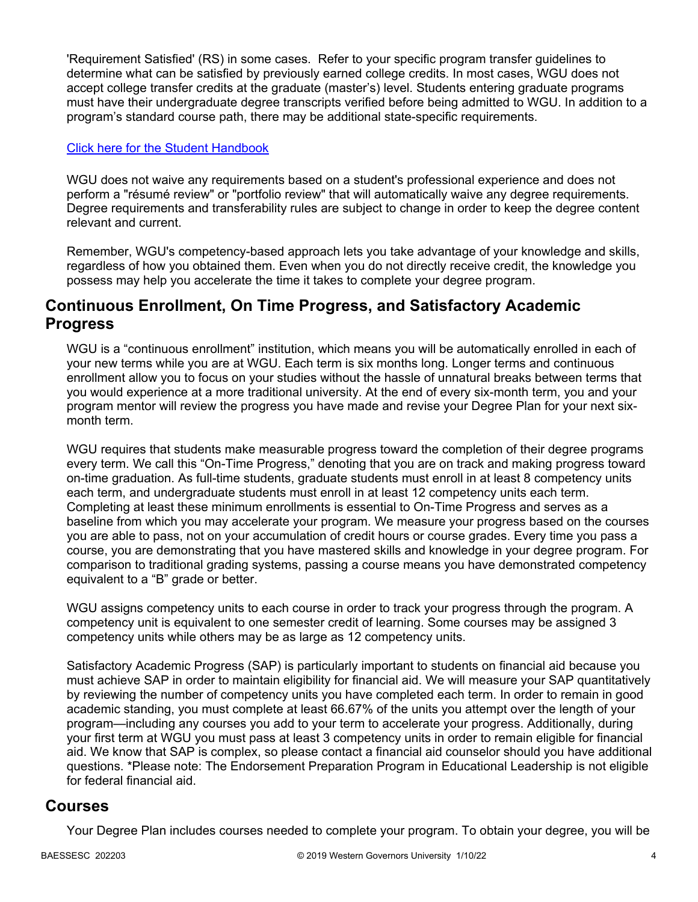'Requirement Satisfied' (RS) in some cases. Refer to your specific program transfer guidelines to determine what can be satisfied by previously earned college credits. In most cases, WGU does not accept college transfer credits at the graduate (master's) level. Students entering graduate programs must have their undergraduate degree transcripts verified before being admitted to WGU. In addition to a program's standard course path, there may be additional state-specific requirements.

#### [Click here for the Student Handbook](http://cm.wgu.edu/)

WGU does not waive any requirements based on a student's professional experience and does not perform a "résumé review" or "portfolio review" that will automatically waive any degree requirements. Degree requirements and transferability rules are subject to change in order to keep the degree content relevant and current.

Remember, WGU's competency-based approach lets you take advantage of your knowledge and skills, regardless of how you obtained them. Even when you do not directly receive credit, the knowledge you possess may help you accelerate the time it takes to complete your degree program.

### **Continuous Enrollment, On Time Progress, and Satisfactory Academic Progress**

WGU is a "continuous enrollment" institution, which means you will be automatically enrolled in each of your new terms while you are at WGU. Each term is six months long. Longer terms and continuous enrollment allow you to focus on your studies without the hassle of unnatural breaks between terms that you would experience at a more traditional university. At the end of every six-month term, you and your program mentor will review the progress you have made and revise your Degree Plan for your next sixmonth term.

WGU requires that students make measurable progress toward the completion of their degree programs every term. We call this "On-Time Progress," denoting that you are on track and making progress toward on-time graduation. As full-time students, graduate students must enroll in at least 8 competency units each term, and undergraduate students must enroll in at least 12 competency units each term. Completing at least these minimum enrollments is essential to On-Time Progress and serves as a baseline from which you may accelerate your program. We measure your progress based on the courses you are able to pass, not on your accumulation of credit hours or course grades. Every time you pass a course, you are demonstrating that you have mastered skills and knowledge in your degree program. For comparison to traditional grading systems, passing a course means you have demonstrated competency equivalent to a "B" grade or better.

WGU assigns competency units to each course in order to track your progress through the program. A competency unit is equivalent to one semester credit of learning. Some courses may be assigned 3 competency units while others may be as large as 12 competency units.

Satisfactory Academic Progress (SAP) is particularly important to students on financial aid because you must achieve SAP in order to maintain eligibility for financial aid. We will measure your SAP quantitatively by reviewing the number of competency units you have completed each term. In order to remain in good academic standing, you must complete at least 66.67% of the units you attempt over the length of your program—including any courses you add to your term to accelerate your progress. Additionally, during your first term at WGU you must pass at least 3 competency units in order to remain eligible for financial aid. We know that SAP is complex, so please contact a financial aid counselor should you have additional questions. \*Please note: The Endorsement Preparation Program in Educational Leadership is not eligible for federal financial aid.

### **Courses**

Your Degree Plan includes courses needed to complete your program. To obtain your degree, you will be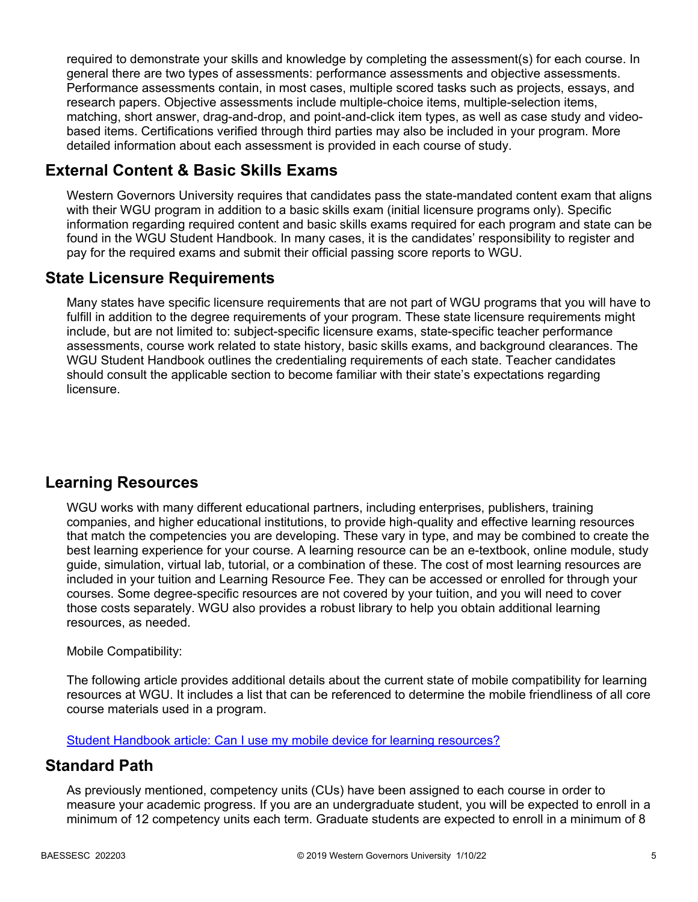required to demonstrate your skills and knowledge by completing the assessment(s) for each course. In general there are two types of assessments: performance assessments and objective assessments. Performance assessments contain, in most cases, multiple scored tasks such as projects, essays, and research papers. Objective assessments include multiple-choice items, multiple-selection items, matching, short answer, drag-and-drop, and point-and-click item types, as well as case study and videobased items. Certifications verified through third parties may also be included in your program. More detailed information about each assessment is provided in each course of study.

## **External Content & Basic Skills Exams**

Western Governors University requires that candidates pass the state-mandated content exam that aligns with their WGU program in addition to a basic skills exam (initial licensure programs only). Specific information regarding required content and basic skills exams required for each program and state can be found in the WGU Student Handbook. In many cases, it is the candidates' responsibility to register and pay for the required exams and submit their official passing score reports to WGU.

## **State Licensure Requirements**

Many states have specific licensure requirements that are not part of WGU programs that you will have to fulfill in addition to the degree requirements of your program. These state licensure requirements might include, but are not limited to: subject-specific licensure exams, state-specific teacher performance assessments, course work related to state history, basic skills exams, and background clearances. The WGU Student Handbook outlines the credentialing requirements of each state. Teacher candidates should consult the applicable section to become familiar with their state's expectations regarding licensure.

## **Learning Resources**

WGU works with many different educational partners, including enterprises, publishers, training companies, and higher educational institutions, to provide high-quality and effective learning resources that match the competencies you are developing. These vary in type, and may be combined to create the best learning experience for your course. A learning resource can be an e-textbook, online module, study guide, simulation, virtual lab, tutorial, or a combination of these. The cost of most learning resources are included in your tuition and Learning Resource Fee. They can be accessed or enrolled for through your courses. Some degree-specific resources are not covered by your tuition, and you will need to cover those costs separately. WGU also provides a robust library to help you obtain additional learning resources, as needed.

#### Mobile Compatibility:

The following article provides additional details about the current state of mobile compatibility for learning resources at WGU. It includes a list that can be referenced to determine the mobile friendliness of all core course materials used in a program.

[Student Handbook article: Can I use my mobile device for learning resources?](https://cm.wgu.edu/t5/Frequently-Asked-Questions/Can-I-use-my-mobile-device-for-learning-resources/ta-p/396)

## **Standard Path**

As previously mentioned, competency units (CUs) have been assigned to each course in order to measure your academic progress. If you are an undergraduate student, you will be expected to enroll in a minimum of 12 competency units each term. Graduate students are expected to enroll in a minimum of 8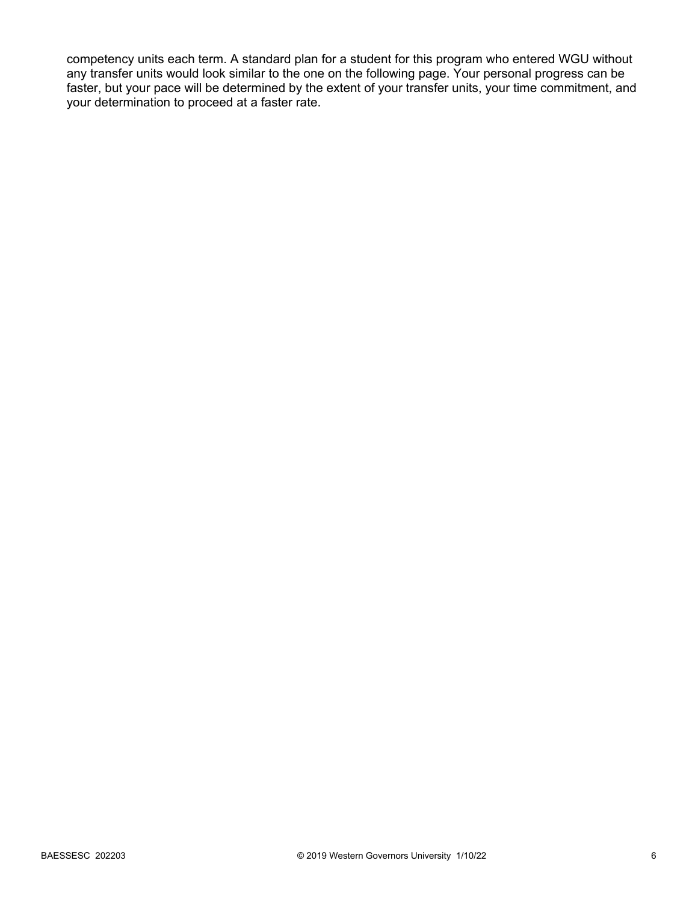competency units each term. A standard plan for a student for this program who entered WGU without any transfer units would look similar to the one on the following page. Your personal progress can be faster, but your pace will be determined by the extent of your transfer units, your time commitment, and your determination to proceed at a faster rate.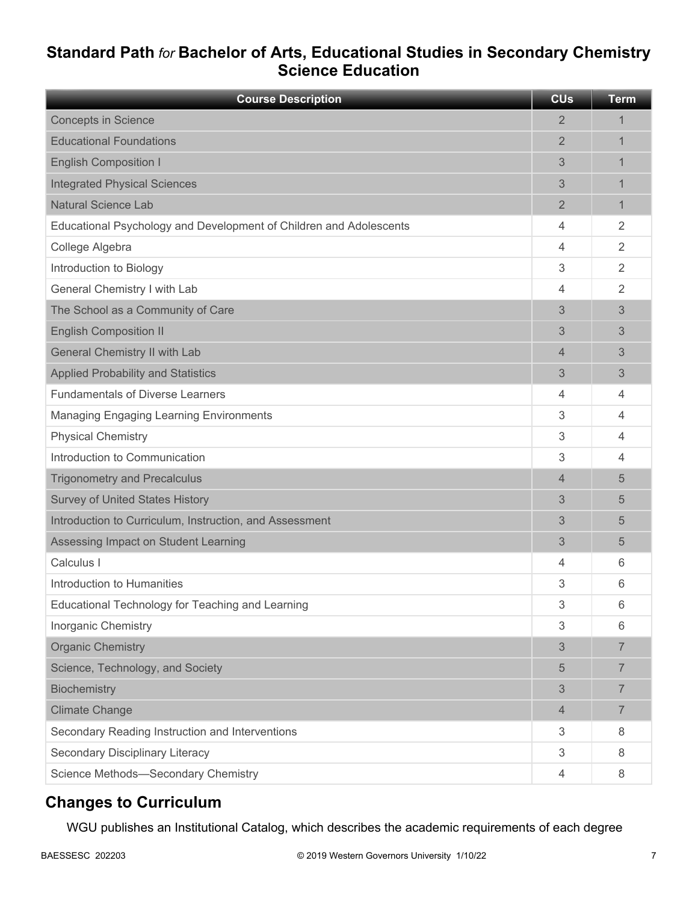## **Standard Path** *for* **Bachelor of Arts, Educational Studies in Secondary Chemistry Science Education**

| <b>Course Description</b>                                          | <b>CU<sub>s</sub></b> | <b>Term</b>    |
|--------------------------------------------------------------------|-----------------------|----------------|
| <b>Concepts in Science</b>                                         | $\overline{2}$        | 1              |
| <b>Educational Foundations</b>                                     | $\overline{2}$        | 1              |
| <b>English Composition I</b>                                       | 3                     | 1              |
| <b>Integrated Physical Sciences</b>                                | 3                     | 1              |
| <b>Natural Science Lab</b>                                         | 2                     | $\mathbf{1}$   |
| Educational Psychology and Development of Children and Adolescents | 4                     | 2              |
| College Algebra                                                    | 4                     | 2              |
| Introduction to Biology                                            | 3                     | 2              |
| General Chemistry I with Lab                                       | 4                     | $\overline{2}$ |
| The School as a Community of Care                                  | 3                     | 3              |
| <b>English Composition II</b>                                      | 3                     | 3              |
| General Chemistry II with Lab                                      | 4                     | 3              |
| <b>Applied Probability and Statistics</b>                          | 3                     | 3              |
| <b>Fundamentals of Diverse Learners</b>                            | 4                     | 4              |
| <b>Managing Engaging Learning Environments</b>                     | 3                     | 4              |
| <b>Physical Chemistry</b>                                          | 3                     | $\overline{4}$ |
| Introduction to Communication                                      | 3                     | $\overline{4}$ |
| <b>Trigonometry and Precalculus</b>                                | 4                     | 5              |
| <b>Survey of United States History</b>                             | 3                     | 5              |
| Introduction to Curriculum, Instruction, and Assessment            | 3                     | 5              |
| Assessing Impact on Student Learning                               | 3                     | 5              |
| Calculus I                                                         | 4                     | 6              |
| Introduction to Humanities                                         | 3                     | 6              |
| Educational Technology for Teaching and Learning                   | 3                     | 6              |
| Inorganic Chemistry                                                | 3                     | 6              |
| <b>Organic Chemistry</b>                                           | 3                     | $\overline{7}$ |
| Science, Technology, and Society                                   | 5                     | $\overline{7}$ |
| Biochemistry                                                       | 3                     | $\overline{7}$ |
| <b>Climate Change</b>                                              | 4                     | $\overline{7}$ |
| Secondary Reading Instruction and Interventions                    | 3                     | 8              |
| Secondary Disciplinary Literacy                                    | 3                     | 8              |
| Science Methods-Secondary Chemistry                                | 4                     | 8              |

## **Changes to Curriculum**

WGU publishes an Institutional Catalog, which describes the academic requirements of each degree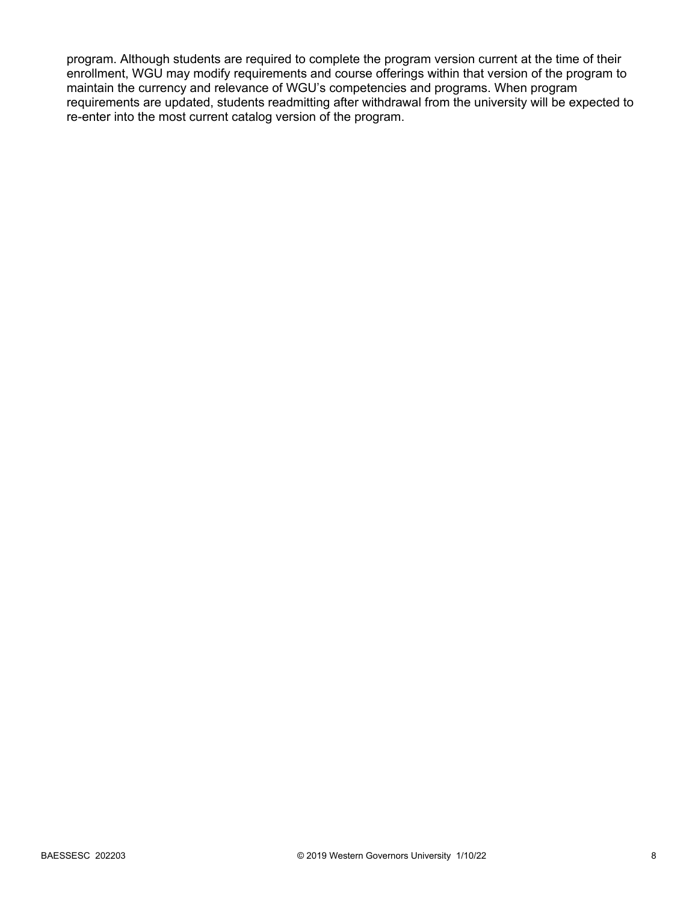program. Although students are required to complete the program version current at the time of their enrollment, WGU may modify requirements and course offerings within that version of the program to maintain the currency and relevance of WGU's competencies and programs. When program requirements are updated, students readmitting after withdrawal from the university will be expected to re-enter into the most current catalog version of the program.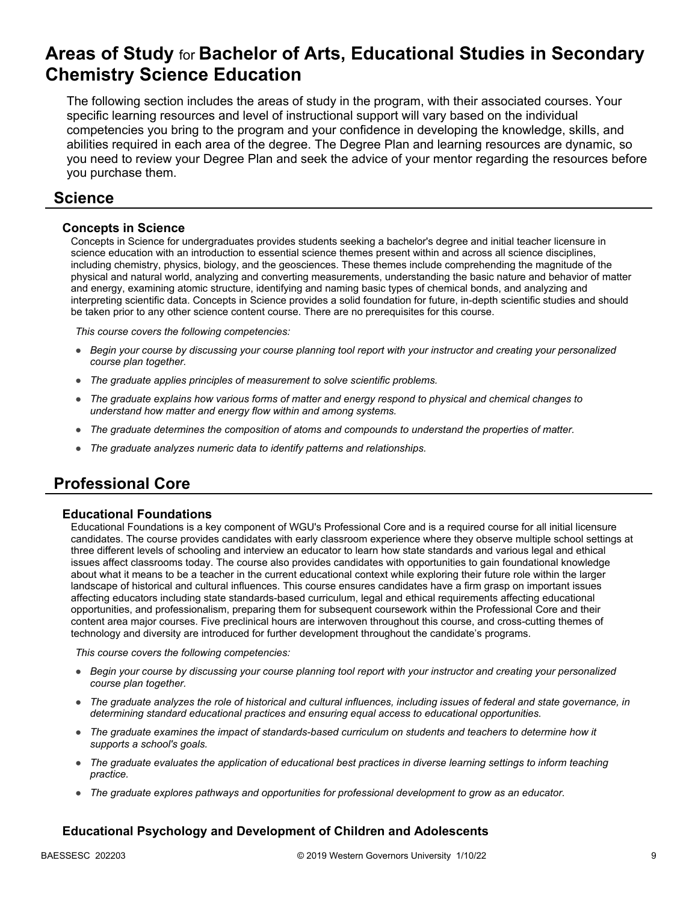## **Areas of Study** for **Bachelor of Arts, Educational Studies in Secondary Chemistry Science Education**

The following section includes the areas of study in the program, with their associated courses. Your specific learning resources and level of instructional support will vary based on the individual competencies you bring to the program and your confidence in developing the knowledge, skills, and abilities required in each area of the degree. The Degree Plan and learning resources are dynamic, so you need to review your Degree Plan and seek the advice of your mentor regarding the resources before you purchase them.

### **Science**

#### **Concepts in Science**

Concepts in Science for undergraduates provides students seeking a bachelor's degree and initial teacher licensure in science education with an introduction to essential science themes present within and across all science disciplines, including chemistry, physics, biology, and the geosciences. These themes include comprehending the magnitude of the physical and natural world, analyzing and converting measurements, understanding the basic nature and behavior of matter and energy, examining atomic structure, identifying and naming basic types of chemical bonds, and analyzing and interpreting scientific data. Concepts in Science provides a solid foundation for future, in-depth scientific studies and should be taken prior to any other science content course. There are no prerequisites for this course.

*This course covers the following competencies:*

- *Begin your course by discussing your course planning tool report with your instructor and creating your personalized course plan together.*
- *The graduate applies principles of measurement to solve scientific problems.*
- *The graduate explains how various forms of matter and energy respond to physical and chemical changes to understand how matter and energy flow within and among systems.*
- *The graduate determines the composition of atoms and compounds to understand the properties of matter.*
- *The graduate analyzes numeric data to identify patterns and relationships.*

## **Professional Core**

#### **Educational Foundations**

Educational Foundations is a key component of WGU's Professional Core and is a required course for all initial licensure candidates. The course provides candidates with early classroom experience where they observe multiple school settings at three different levels of schooling and interview an educator to learn how state standards and various legal and ethical issues affect classrooms today. The course also provides candidates with opportunities to gain foundational knowledge about what it means to be a teacher in the current educational context while exploring their future role within the larger landscape of historical and cultural influences. This course ensures candidates have a firm grasp on important issues affecting educators including state standards-based curriculum, legal and ethical requirements affecting educational opportunities, and professionalism, preparing them for subsequent coursework within the Professional Core and their content area major courses. Five preclinical hours are interwoven throughout this course, and cross-cutting themes of technology and diversity are introduced for further development throughout the candidate's programs.

*This course covers the following competencies:*

- *Begin your course by discussing your course planning tool report with your instructor and creating your personalized course plan together.*
- *The graduate analyzes the role of historical and cultural influences, including issues of federal and state governance, in determining standard educational practices and ensuring equal access to educational opportunities.*
- *The graduate examines the impact of standards-based curriculum on students and teachers to determine how it supports a school's goals.*
- *The graduate evaluates the application of educational best practices in diverse learning settings to inform teaching practice.*
- *The graduate explores pathways and opportunities for professional development to grow as an educator.*

#### **Educational Psychology and Development of Children and Adolescents**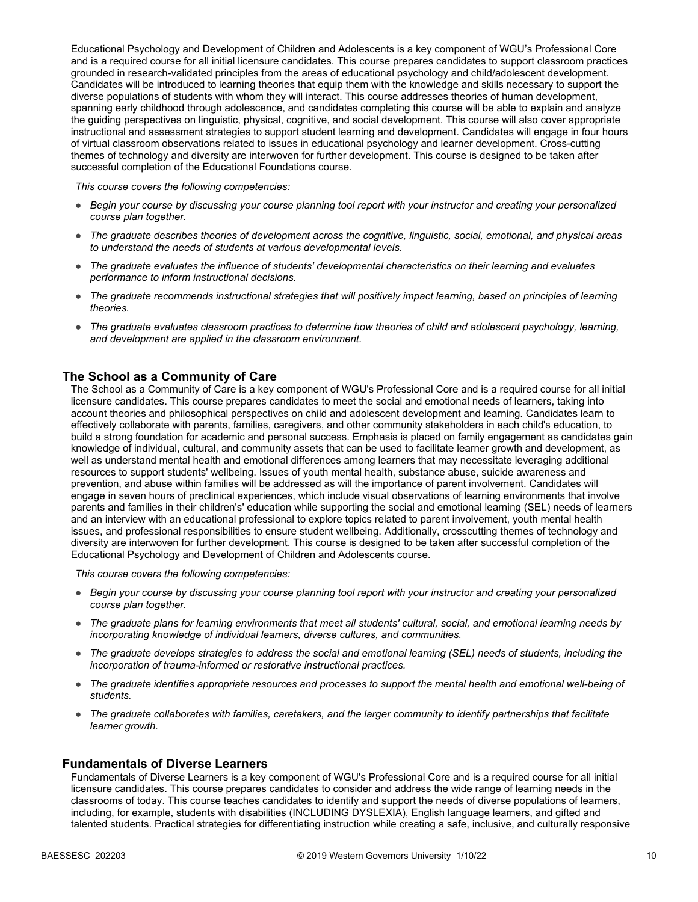Educational Psychology and Development of Children and Adolescents is a key component of WGU's Professional Core and is a required course for all initial licensure candidates. This course prepares candidates to support classroom practices grounded in research-validated principles from the areas of educational psychology and child/adolescent development. Candidates will be introduced to learning theories that equip them with the knowledge and skills necessary to support the diverse populations of students with whom they will interact. This course addresses theories of human development, spanning early childhood through adolescence, and candidates completing this course will be able to explain and analyze the guiding perspectives on linguistic, physical, cognitive, and social development. This course will also cover appropriate instructional and assessment strategies to support student learning and development. Candidates will engage in four hours of virtual classroom observations related to issues in educational psychology and learner development. Cross-cutting themes of technology and diversity are interwoven for further development. This course is designed to be taken after successful completion of the Educational Foundations course.

*This course covers the following competencies:*

- *Begin your course by discussing your course planning tool report with your instructor and creating your personalized course plan together.*
- *The graduate describes theories of development across the cognitive, linguistic, social, emotional, and physical areas to understand the needs of students at various developmental levels.*
- *The graduate evaluates the influence of students' developmental characteristics on their learning and evaluates performance to inform instructional decisions.*
- *The graduate recommends instructional strategies that will positively impact learning, based on principles of learning theories.*
- *The graduate evaluates classroom practices to determine how theories of child and adolescent psychology, learning, and development are applied in the classroom environment.*

#### **The School as a Community of Care**

The School as a Community of Care is a key component of WGU's Professional Core and is a required course for all initial licensure candidates. This course prepares candidates to meet the social and emotional needs of learners, taking into account theories and philosophical perspectives on child and adolescent development and learning. Candidates learn to effectively collaborate with parents, families, caregivers, and other community stakeholders in each child's education, to build a strong foundation for academic and personal success. Emphasis is placed on family engagement as candidates gain knowledge of individual, cultural, and community assets that can be used to facilitate learner growth and development, as well as understand mental health and emotional differences among learners that may necessitate leveraging additional resources to support students' wellbeing. Issues of youth mental health, substance abuse, suicide awareness and prevention, and abuse within families will be addressed as will the importance of parent involvement. Candidates will engage in seven hours of preclinical experiences, which include visual observations of learning environments that involve parents and families in their children's' education while supporting the social and emotional learning (SEL) needs of learners and an interview with an educational professional to explore topics related to parent involvement, youth mental health issues, and professional responsibilities to ensure student wellbeing. Additionally, crosscutting themes of technology and diversity are interwoven for further development. This course is designed to be taken after successful completion of the Educational Psychology and Development of Children and Adolescents course.

*This course covers the following competencies:*

- *Begin your course by discussing your course planning tool report with your instructor and creating your personalized course plan together.*
- *The graduate plans for learning environments that meet all students' cultural, social, and emotional learning needs by incorporating knowledge of individual learners, diverse cultures, and communities.*
- *The graduate develops strategies to address the social and emotional learning (SEL) needs of students, including the incorporation of trauma-informed or restorative instructional practices.*
- *The graduate identifies appropriate resources and processes to support the mental health and emotional well-being of students.*
- *The graduate collaborates with families, caretakers, and the larger community to identify partnerships that facilitate learner growth.*

#### **Fundamentals of Diverse Learners**

Fundamentals of Diverse Learners is a key component of WGU's Professional Core and is a required course for all initial licensure candidates. This course prepares candidates to consider and address the wide range of learning needs in the classrooms of today. This course teaches candidates to identify and support the needs of diverse populations of learners, including, for example, students with disabilities (INCLUDING DYSLEXIA), English language learners, and gifted and talented students. Practical strategies for differentiating instruction while creating a safe, inclusive, and culturally responsive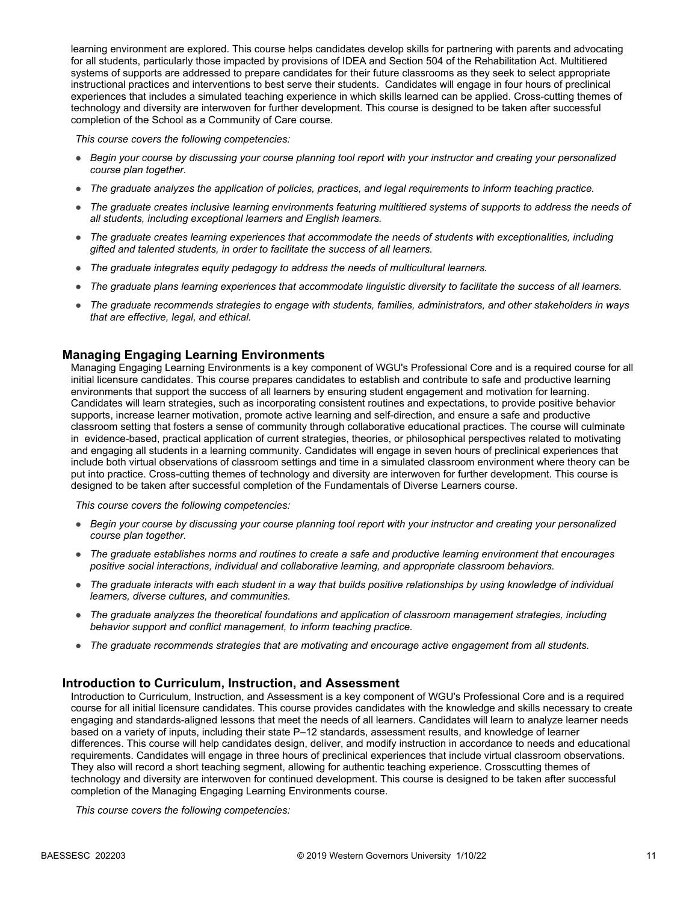learning environment are explored. This course helps candidates develop skills for partnering with parents and advocating for all students, particularly those impacted by provisions of IDEA and Section 504 of the Rehabilitation Act. Multitiered systems of supports are addressed to prepare candidates for their future classrooms as they seek to select appropriate instructional practices and interventions to best serve their students. Candidates will engage in four hours of preclinical experiences that includes a simulated teaching experience in which skills learned can be applied. Cross-cutting themes of technology and diversity are interwoven for further development. This course is designed to be taken after successful completion of the School as a Community of Care course.

*This course covers the following competencies:*

- *Begin your course by discussing your course planning tool report with your instructor and creating your personalized course plan together.*
- *The graduate analyzes the application of policies, practices, and legal requirements to inform teaching practice.*
- *The graduate creates inclusive learning environments featuring multitiered systems of supports to address the needs of all students, including exceptional learners and English learners.*
- *The graduate creates learning experiences that accommodate the needs of students with exceptionalities, including gifted and talented students, in order to facilitate the success of all learners.*
- *The graduate integrates equity pedagogy to address the needs of multicultural learners.*
- *The graduate plans learning experiences that accommodate linguistic diversity to facilitate the success of all learners.*
- *The graduate recommends strategies to engage with students, families, administrators, and other stakeholders in ways that are effective, legal, and ethical.*

#### **Managing Engaging Learning Environments**

Managing Engaging Learning Environments is a key component of WGU's Professional Core and is a required course for all initial licensure candidates. This course prepares candidates to establish and contribute to safe and productive learning environments that support the success of all learners by ensuring student engagement and motivation for learning. Candidates will learn strategies, such as incorporating consistent routines and expectations, to provide positive behavior supports, increase learner motivation, promote active learning and self-direction, and ensure a safe and productive classroom setting that fosters a sense of community through collaborative educational practices. The course will culminate in evidence-based, practical application of current strategies, theories, or philosophical perspectives related to motivating and engaging all students in a learning community. Candidates will engage in seven hours of preclinical experiences that include both virtual observations of classroom settings and time in a simulated classroom environment where theory can be put into practice. Cross-cutting themes of technology and diversity are interwoven for further development. This course is designed to be taken after successful completion of the Fundamentals of Diverse Learners course.

*This course covers the following competencies:*

- *Begin your course by discussing your course planning tool report with your instructor and creating your personalized course plan together.*
- *The graduate establishes norms and routines to create a safe and productive learning environment that encourages positive social interactions, individual and collaborative learning, and appropriate classroom behaviors.*
- *The graduate interacts with each student in a way that builds positive relationships by using knowledge of individual learners, diverse cultures, and communities.*
- *The graduate analyzes the theoretical foundations and application of classroom management strategies, including behavior support and conflict management, to inform teaching practice.*
- *The graduate recommends strategies that are motivating and encourage active engagement from all students.*

#### **Introduction to Curriculum, Instruction, and Assessment**

Introduction to Curriculum, Instruction, and Assessment is a key component of WGU's Professional Core and is a required course for all initial licensure candidates. This course provides candidates with the knowledge and skills necessary to create engaging and standards-aligned lessons that meet the needs of all learners. Candidates will learn to analyze learner needs based on a variety of inputs, including their state P–12 standards, assessment results, and knowledge of learner differences. This course will help candidates design, deliver, and modify instruction in accordance to needs and educational requirements. Candidates will engage in three hours of preclinical experiences that include virtual classroom observations. They also will record a short teaching segment, allowing for authentic teaching experience. Crosscutting themes of technology and diversity are interwoven for continued development. This course is designed to be taken after successful completion of the Managing Engaging Learning Environments course.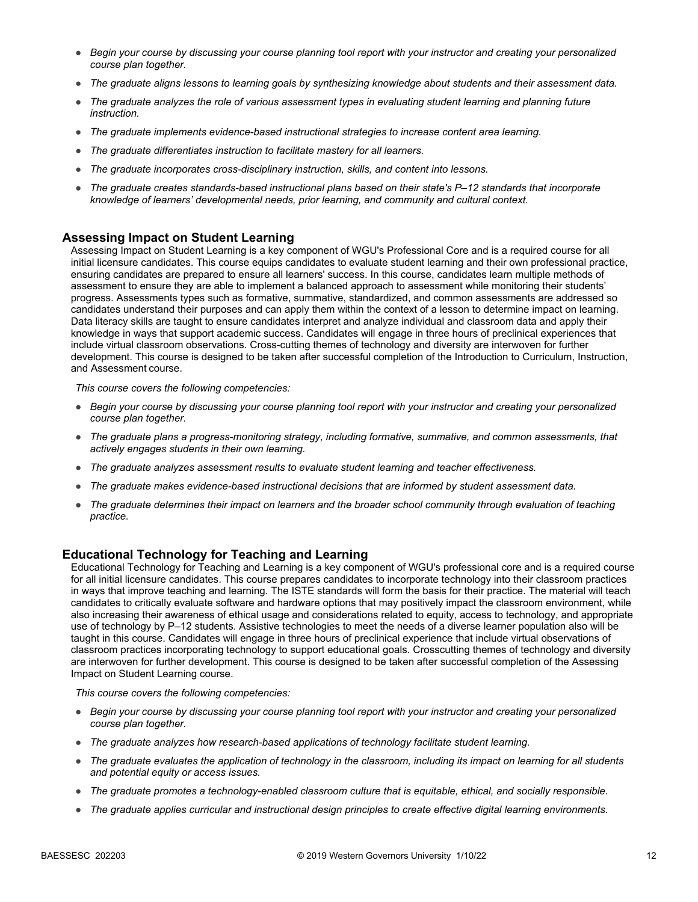- *Begin your course by discussing your course planning tool report with your instructor and creating your personalized course plan together.*
- *The graduate aligns lessons to learning goals by synthesizing knowledge about students and their assessment data.*
- *The graduate analyzes the role of various assessment types in evaluating student learning and planning future instruction.*
- *The graduate implements evidence-based instructional strategies to increase content area learning.*
- *The graduate differentiates instruction to facilitate mastery for all learners.*
- *The graduate incorporates cross-disciplinary instruction, skills, and content into lessons.*
- *The graduate creates standards-based instructional plans based on their state's P–12 standards that incorporate knowledge of learners' developmental needs, prior learning, and community and cultural context.*

#### **Assessing Impact on Student Learning**

Assessing Impact on Student Learning is a key component of WGU's Professional Core and is a required course for all initial licensure candidates. This course equips candidates to evaluate student learning and their own professional practice, ensuring candidates are prepared to ensure all learners' success. In this course, candidates learn multiple methods of assessment to ensure they are able to implement a balanced approach to assessment while monitoring their students' progress. Assessments types such as formative, summative, standardized, and common assessments are addressed so candidates understand their purposes and can apply them within the context of a lesson to determine impact on learning. Data literacy skills are taught to ensure candidates interpret and analyze individual and classroom data and apply their knowledge in ways that support academic success. Candidates will engage in three hours of preclinical experiences that include virtual classroom observations. Cross-cutting themes of technology and diversity are interwoven for further development. This course is designed to be taken after successful completion of the Introduction to Curriculum, Instruction, and Assessment course.

*This course covers the following competencies:*

- *Begin your course by discussing your course planning tool report with your instructor and creating your personalized course plan together.*
- *The graduate plans a progress-monitoring strategy, including formative, summative, and common assessments, that actively engages students in their own learning.*
- *The graduate analyzes assessment results to evaluate student learning and teacher effectiveness.*
- *The graduate makes evidence-based instructional decisions that are informed by student assessment data.*
- *The graduate determines their impact on learners and the broader school community through evaluation of teaching practice.*

#### **Educational Technology for Teaching and Learning**

Educational Technology for Teaching and Learning is a key component of WGU's professional core and is a required course for all initial licensure candidates. This course prepares candidates to incorporate technology into their classroom practices in ways that improve teaching and learning. The ISTE standards will form the basis for their practice. The material will teach candidates to critically evaluate software and hardware options that may positively impact the classroom environment, while also increasing their awareness of ethical usage and considerations related to equity, access to technology, and appropriate use of technology by P–12 students. Assistive technologies to meet the needs of a diverse learner population also will be taught in this course. Candidates will engage in three hours of preclinical experience that include virtual observations of classroom practices incorporating technology to support educational goals. Crosscutting themes of technology and diversity are interwoven for further development. This course is designed to be taken after successful completion of the Assessing Impact on Student Learning course.

- *Begin your course by discussing your course planning tool report with your instructor and creating your personalized course plan together.*
- *The graduate analyzes how research-based applications of technology facilitate student learning.*
- *The graduate evaluates the application of technology in the classroom, including its impact on learning for all students and potential equity or access issues.*
- *The graduate promotes a technology-enabled classroom culture that is equitable, ethical, and socially responsible.*
- *The graduate applies curricular and instructional design principles to create effective digital learning environments.*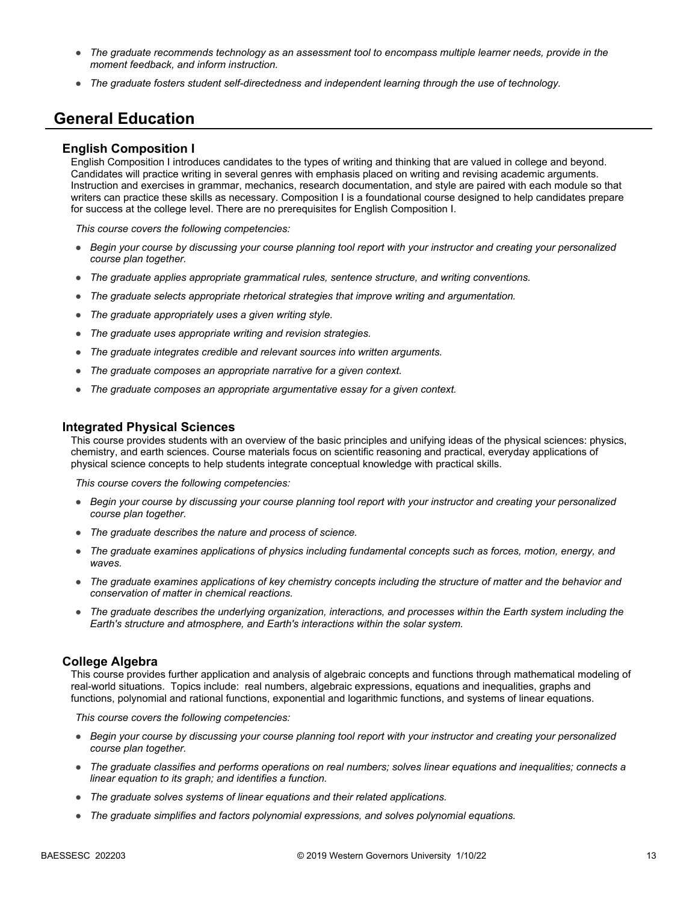- *The graduate recommends technology as an assessment tool to encompass multiple learner needs, provide in the moment feedback, and inform instruction.*
- *The graduate fosters student self-directedness and independent learning through the use of technology.*

## **General Education**

#### **English Composition I**

English Composition I introduces candidates to the types of writing and thinking that are valued in college and beyond. Candidates will practice writing in several genres with emphasis placed on writing and revising academic arguments. Instruction and exercises in grammar, mechanics, research documentation, and style are paired with each module so that writers can practice these skills as necessary. Composition I is a foundational course designed to help candidates prepare for success at the college level. There are no prerequisites for English Composition I.

*This course covers the following competencies:*

- *Begin your course by discussing your course planning tool report with your instructor and creating your personalized course plan together.*
- *The graduate applies appropriate grammatical rules, sentence structure, and writing conventions.*
- *The graduate selects appropriate rhetorical strategies that improve writing and argumentation.*
- *The graduate appropriately uses a given writing style.*
- *The graduate uses appropriate writing and revision strategies.*
- *The graduate integrates credible and relevant sources into written arguments.*
- *The graduate composes an appropriate narrative for a given context.*
- *The graduate composes an appropriate argumentative essay for a given context.*

#### **Integrated Physical Sciences**

This course provides students with an overview of the basic principles and unifying ideas of the physical sciences: physics, chemistry, and earth sciences. Course materials focus on scientific reasoning and practical, everyday applications of physical science concepts to help students integrate conceptual knowledge with practical skills.

*This course covers the following competencies:*

- *Begin your course by discussing your course planning tool report with your instructor and creating your personalized course plan together.*
- *The graduate describes the nature and process of science.*
- *The graduate examines applications of physics including fundamental concepts such as forces, motion, energy, and waves.*
- *The graduate examines applications of key chemistry concepts including the structure of matter and the behavior and conservation of matter in chemical reactions.*
- *The graduate describes the underlying organization, interactions, and processes within the Earth system including the Earth's structure and atmosphere, and Earth's interactions within the solar system.*

#### **College Algebra**

This course provides further application and analysis of algebraic concepts and functions through mathematical modeling of real-world situations. Topics include: real numbers, algebraic expressions, equations and inequalities, graphs and functions, polynomial and rational functions, exponential and logarithmic functions, and systems of linear equations.

- *Begin your course by discussing your course planning tool report with your instructor and creating your personalized course plan together.*
- *The graduate classifies and performs operations on real numbers; solves linear equations and inequalities; connects a linear equation to its graph; and identifies a function.*
- *The graduate solves systems of linear equations and their related applications.*
- *The graduate simplifies and factors polynomial expressions, and solves polynomial equations.*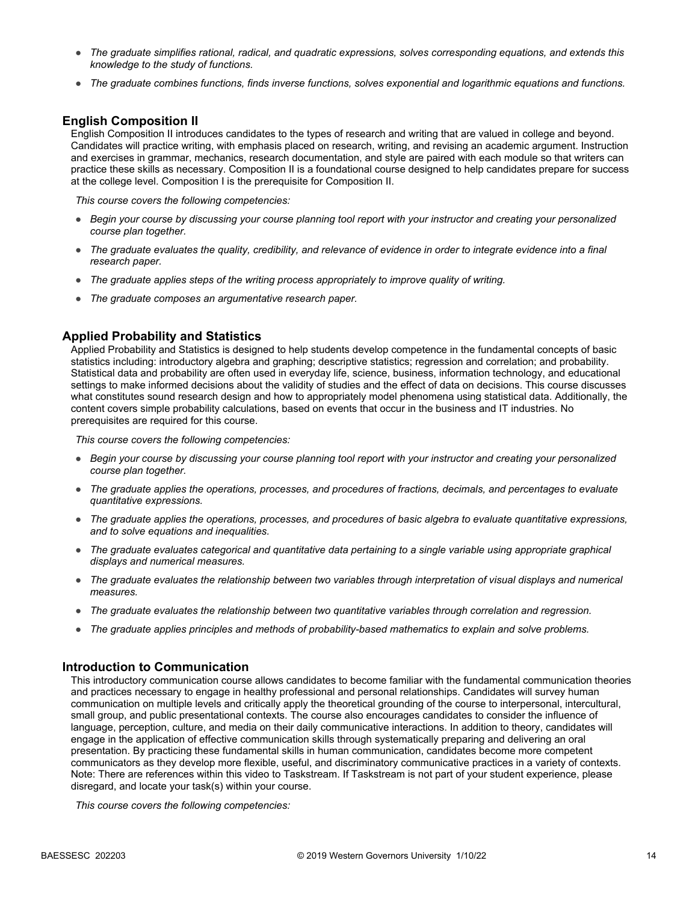- *The graduate simplifies rational, radical, and quadratic expressions, solves corresponding equations, and extends this knowledge to the study of functions.*
- *The graduate combines functions, finds inverse functions, solves exponential and logarithmic equations and functions.*

#### **English Composition II**

English Composition II introduces candidates to the types of research and writing that are valued in college and beyond. Candidates will practice writing, with emphasis placed on research, writing, and revising an academic argument. Instruction and exercises in grammar, mechanics, research documentation, and style are paired with each module so that writers can practice these skills as necessary. Composition II is a foundational course designed to help candidates prepare for success at the college level. Composition I is the prerequisite for Composition II.

*This course covers the following competencies:*

- *Begin your course by discussing your course planning tool report with your instructor and creating your personalized course plan together.*
- *The graduate evaluates the quality, credibility, and relevance of evidence in order to integrate evidence into a final research paper.*
- *The graduate applies steps of the writing process appropriately to improve quality of writing.*
- *The graduate composes an argumentative research paper.*

#### **Applied Probability and Statistics**

Applied Probability and Statistics is designed to help students develop competence in the fundamental concepts of basic statistics including: introductory algebra and graphing; descriptive statistics; regression and correlation; and probability. Statistical data and probability are often used in everyday life, science, business, information technology, and educational settings to make informed decisions about the validity of studies and the effect of data on decisions. This course discusses what constitutes sound research design and how to appropriately model phenomena using statistical data. Additionally, the content covers simple probability calculations, based on events that occur in the business and IT industries. No prerequisites are required for this course.

*This course covers the following competencies:*

- *Begin your course by discussing your course planning tool report with your instructor and creating your personalized course plan together.*
- *The graduate applies the operations, processes, and procedures of fractions, decimals, and percentages to evaluate quantitative expressions.*
- *The graduate applies the operations, processes, and procedures of basic algebra to evaluate quantitative expressions, and to solve equations and inequalities.*
- *The graduate evaluates categorical and quantitative data pertaining to a single variable using appropriate graphical displays and numerical measures.*
- *The graduate evaluates the relationship between two variables through interpretation of visual displays and numerical measures.*
- *The graduate evaluates the relationship between two quantitative variables through correlation and regression.*
- *The graduate applies principles and methods of probability-based mathematics to explain and solve problems.*

#### **Introduction to Communication**

This introductory communication course allows candidates to become familiar with the fundamental communication theories and practices necessary to engage in healthy professional and personal relationships. Candidates will survey human communication on multiple levels and critically apply the theoretical grounding of the course to interpersonal, intercultural, small group, and public presentational contexts. The course also encourages candidates to consider the influence of language, perception, culture, and media on their daily communicative interactions. In addition to theory, candidates will engage in the application of effective communication skills through systematically preparing and delivering an oral presentation. By practicing these fundamental skills in human communication, candidates become more competent communicators as they develop more flexible, useful, and discriminatory communicative practices in a variety of contexts. Note: There are references within this video to Taskstream. If Taskstream is not part of your student experience, please disregard, and locate your task(s) within your course.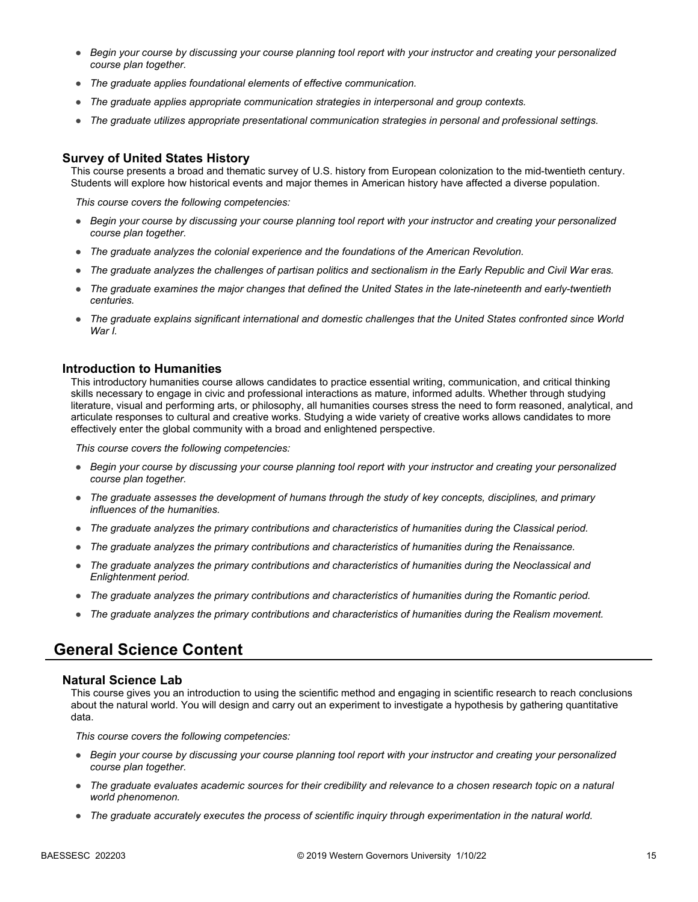- *Begin your course by discussing your course planning tool report with your instructor and creating your personalized course plan together.*
- *The graduate applies foundational elements of effective communication.*
- *The graduate applies appropriate communication strategies in interpersonal and group contexts.*
- *The graduate utilizes appropriate presentational communication strategies in personal and professional settings.*

#### **Survey of United States History**

This course presents a broad and thematic survey of U.S. history from European colonization to the mid-twentieth century. Students will explore how historical events and major themes in American history have affected a diverse population.

*This course covers the following competencies:*

- *Begin your course by discussing your course planning tool report with your instructor and creating your personalized course plan together.*
- *The graduate analyzes the colonial experience and the foundations of the American Revolution.*
- *The graduate analyzes the challenges of partisan politics and sectionalism in the Early Republic and Civil War eras.*
- *The graduate examines the major changes that defined the United States in the late-nineteenth and early-twentieth centuries.*
- *The graduate explains significant international and domestic challenges that the United States confronted since World War I.*

#### **Introduction to Humanities**

This introductory humanities course allows candidates to practice essential writing, communication, and critical thinking skills necessary to engage in civic and professional interactions as mature, informed adults. Whether through studying literature, visual and performing arts, or philosophy, all humanities courses stress the need to form reasoned, analytical, and articulate responses to cultural and creative works. Studying a wide variety of creative works allows candidates to more effectively enter the global community with a broad and enlightened perspective.

*This course covers the following competencies:*

- *Begin your course by discussing your course planning tool report with your instructor and creating your personalized course plan together.*
- *The graduate assesses the development of humans through the study of key concepts, disciplines, and primary influences of the humanities.*
- *The graduate analyzes the primary contributions and characteristics of humanities during the Classical period.*
- *The graduate analyzes the primary contributions and characteristics of humanities during the Renaissance.*
- *The graduate analyzes the primary contributions and characteristics of humanities during the Neoclassical and Enlightenment period.*
- *The graduate analyzes the primary contributions and characteristics of humanities during the Romantic period.*
- *The graduate analyzes the primary contributions and characteristics of humanities during the Realism movement.*

## **General Science Content**

#### **Natural Science Lab**

This course gives you an introduction to using the scientific method and engaging in scientific research to reach conclusions about the natural world. You will design and carry out an experiment to investigate a hypothesis by gathering quantitative data.

- *Begin your course by discussing your course planning tool report with your instructor and creating your personalized course plan together.*
- *The graduate evaluates academic sources for their credibility and relevance to a chosen research topic on a natural world phenomenon.*
- *The graduate accurately executes the process of scientific inquiry through experimentation in the natural world.*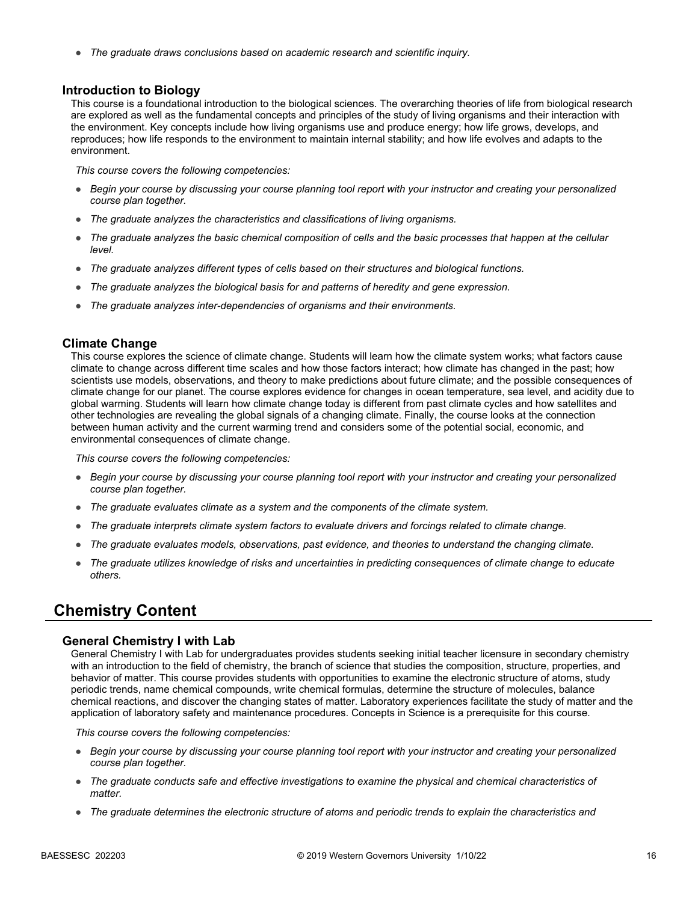● *The graduate draws conclusions based on academic research and scientific inquiry.*

#### **Introduction to Biology**

This course is a foundational introduction to the biological sciences. The overarching theories of life from biological research are explored as well as the fundamental concepts and principles of the study of living organisms and their interaction with the environment. Key concepts include how living organisms use and produce energy; how life grows, develops, and reproduces; how life responds to the environment to maintain internal stability; and how life evolves and adapts to the environment.

*This course covers the following competencies:*

- *Begin your course by discussing your course planning tool report with your instructor and creating your personalized course plan together.*
- *The graduate analyzes the characteristics and classifications of living organisms.*
- *The graduate analyzes the basic chemical composition of cells and the basic processes that happen at the cellular level.*
- *The graduate analyzes different types of cells based on their structures and biological functions.*
- *The graduate analyzes the biological basis for and patterns of heredity and gene expression.*
- *The graduate analyzes inter-dependencies of organisms and their environments.*

#### **Climate Change**

This course explores the science of climate change. Students will learn how the climate system works; what factors cause climate to change across different time scales and how those factors interact; how climate has changed in the past; how scientists use models, observations, and theory to make predictions about future climate; and the possible consequences of climate change for our planet. The course explores evidence for changes in ocean temperature, sea level, and acidity due to global warming. Students will learn how climate change today is different from past climate cycles and how satellites and other technologies are revealing the global signals of a changing climate. Finally, the course looks at the connection between human activity and the current warming trend and considers some of the potential social, economic, and environmental consequences of climate change.

*This course covers the following competencies:*

- *Begin your course by discussing your course planning tool report with your instructor and creating your personalized course plan together.*
- *The graduate evaluates climate as a system and the components of the climate system.*
- *The graduate interprets climate system factors to evaluate drivers and forcings related to climate change.*
- *The graduate evaluates models, observations, past evidence, and theories to understand the changing climate.*
- *The graduate utilizes knowledge of risks and uncertainties in predicting consequences of climate change to educate others.*

## **Chemistry Content**

#### **General Chemistry I with Lab**

General Chemistry I with Lab for undergraduates provides students seeking initial teacher licensure in secondary chemistry with an introduction to the field of chemistry, the branch of science that studies the composition, structure, properties, and behavior of matter. This course provides students with opportunities to examine the electronic structure of atoms, study periodic trends, name chemical compounds, write chemical formulas, determine the structure of molecules, balance chemical reactions, and discover the changing states of matter. Laboratory experiences facilitate the study of matter and the application of laboratory safety and maintenance procedures. Concepts in Science is a prerequisite for this course.

- *Begin your course by discussing your course planning tool report with your instructor and creating your personalized course plan together.*
- *The graduate conducts safe and effective investigations to examine the physical and chemical characteristics of matter.*
- *The graduate determines the electronic structure of atoms and periodic trends to explain the characteristics and*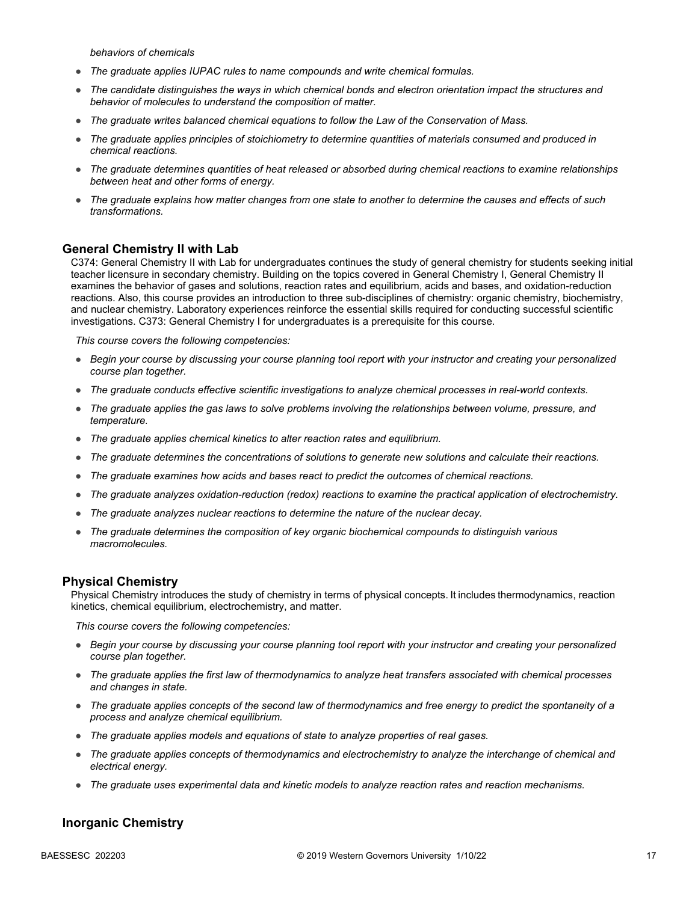*behaviors of chemicals*

- The graduate applies IUPAC rules to name compounds and write chemical formulas.
- *The candidate distinguishes the ways in which chemical bonds and electron orientation impact the structures and behavior of molecules to understand the composition of matter.*
- *The graduate writes balanced chemical equations to follow the Law of the Conservation of Mass.*
- *The graduate applies principles of stoichiometry to determine quantities of materials consumed and produced in chemical reactions.*
- *The graduate determines quantities of heat released or absorbed during chemical reactions to examine relationships between heat and other forms of energy.*
- *The graduate explains how matter changes from one state to another to determine the causes and effects of such transformations.*

#### **General Chemistry II with Lab**

C374: General Chemistry II with Lab for undergraduates continues the study of general chemistry for students seeking initial teacher licensure in secondary chemistry. Building on the topics covered in General Chemistry I, General Chemistry II examines the behavior of gases and solutions, reaction rates and equilibrium, acids and bases, and oxidation-reduction reactions. Also, this course provides an introduction to three sub-disciplines of chemistry: organic chemistry, biochemistry, and nuclear chemistry. Laboratory experiences reinforce the essential skills required for conducting successful scientific investigations. C373: General Chemistry I for undergraduates is a prerequisite for this course.

*This course covers the following competencies:*

- *Begin your course by discussing your course planning tool report with your instructor and creating your personalized course plan together.*
- *The graduate conducts effective scientific investigations to analyze chemical processes in real-world contexts.*
- *The graduate applies the gas laws to solve problems involving the relationships between volume, pressure, and temperature.*
- *The graduate applies chemical kinetics to alter reaction rates and equilibrium.*
- *The graduate determines the concentrations of solutions to generate new solutions and calculate their reactions.*
- *The graduate examines how acids and bases react to predict the outcomes of chemical reactions.*
- *The graduate analyzes oxidation-reduction (redox) reactions to examine the practical application of electrochemistry.*
- *The graduate analyzes nuclear reactions to determine the nature of the nuclear decay.*
- *The graduate determines the composition of key organic biochemical compounds to distinguish various macromolecules.*

#### **Physical Chemistry**

Physical Chemistry introduces the study of chemistry in terms of physical concepts. It includes thermodynamics, reaction kinetics, chemical equilibrium, electrochemistry, and matter.

*This course covers the following competencies:*

- *Begin your course by discussing your course planning tool report with your instructor and creating your personalized course plan together.*
- *The graduate applies the first law of thermodynamics to analyze heat transfers associated with chemical processes and changes in state.*
- *The graduate applies concepts of the second law of thermodynamics and free energy to predict the spontaneity of a process and analyze chemical equilibrium.*
- *The graduate applies models and equations of state to analyze properties of real gases.*
- *The graduate applies concepts of thermodynamics and electrochemistry to analyze the interchange of chemical and electrical energy.*
- *The graduate uses experimental data and kinetic models to analyze reaction rates and reaction mechanisms.*

#### **Inorganic Chemistry**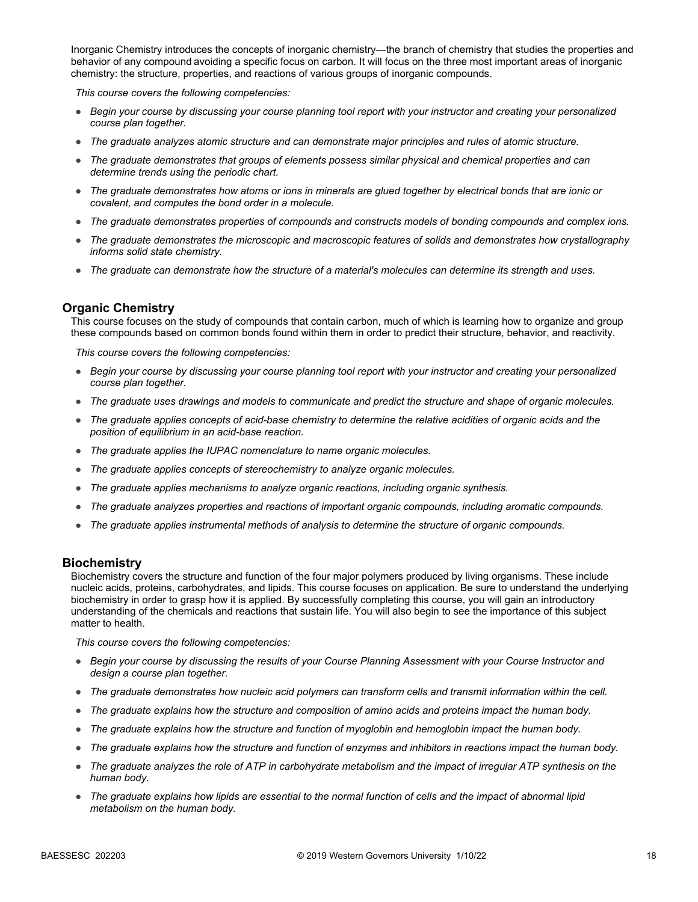Inorganic Chemistry introduces the concepts of inorganic chemistry—the branch of chemistry that studies the properties and behavior of any compound avoiding a specific focus on carbon. It will focus on the three most important areas of inorganic chemistry: the structure, properties, and reactions of various groups of inorganic compounds.

*This course covers the following competencies:*

- *Begin your course by discussing your course planning tool report with your instructor and creating your personalized course plan together.*
- *The graduate analyzes atomic structure and can demonstrate major principles and rules of atomic structure.*
- *The graduate demonstrates that groups of elements possess similar physical and chemical properties and can determine trends using the periodic chart.*
- *The graduate demonstrates how atoms or ions in minerals are glued together by electrical bonds that are ionic or covalent, and computes the bond order in a molecule.*
- *The graduate demonstrates properties of compounds and constructs models of bonding compounds and complex ions.*
- *The graduate demonstrates the microscopic and macroscopic features of solids and demonstrates how crystallography informs solid state chemistry.*
- *The graduate can demonstrate how the structure of a material's molecules can determine its strength and uses.*

#### **Organic Chemistry**

This course focuses on the study of compounds that contain carbon, much of which is learning how to organize and group these compounds based on common bonds found within them in order to predict their structure, behavior, and reactivity.

*This course covers the following competencies:*

- *Begin your course by discussing your course planning tool report with your instructor and creating your personalized course plan together.*
- *The graduate uses drawings and models to communicate and predict the structure and shape of organic molecules.*
- *The graduate applies concepts of acid-base chemistry to determine the relative acidities of organic acids and the position of equilibrium in an acid-base reaction.*
- *The graduate applies the IUPAC nomenclature to name organic molecules.*
- *The graduate applies concepts of stereochemistry to analyze organic molecules.*
- *The graduate applies mechanisms to analyze organic reactions, including organic synthesis.*
- *The graduate analyzes properties and reactions of important organic compounds, including aromatic compounds.*
- *The graduate applies instrumental methods of analysis to determine the structure of organic compounds.*

#### **Biochemistry**

Biochemistry covers the structure and function of the four major polymers produced by living organisms. These include nucleic acids, proteins, carbohydrates, and lipids. This course focuses on application. Be sure to understand the underlying biochemistry in order to grasp how it is applied. By successfully completing this course, you will gain an introductory understanding of the chemicals and reactions that sustain life. You will also begin to see the importance of this subject matter to health.

- *Begin your course by discussing the results of your Course Planning Assessment with your Course Instructor and design a course plan together.*
- *The graduate demonstrates how nucleic acid polymers can transform cells and transmit information within the cell.*
- *The graduate explains how the structure and composition of amino acids and proteins impact the human body.*
- *The graduate explains how the structure and function of myoglobin and hemoglobin impact the human body.*
- *The graduate explains how the structure and function of enzymes and inhibitors in reactions impact the human body.*
- *The graduate analyzes the role of ATP in carbohydrate metabolism and the impact of irregular ATP synthesis on the human body.*
- *The graduate explains how lipids are essential to the normal function of cells and the impact of abnormal lipid metabolism on the human body.*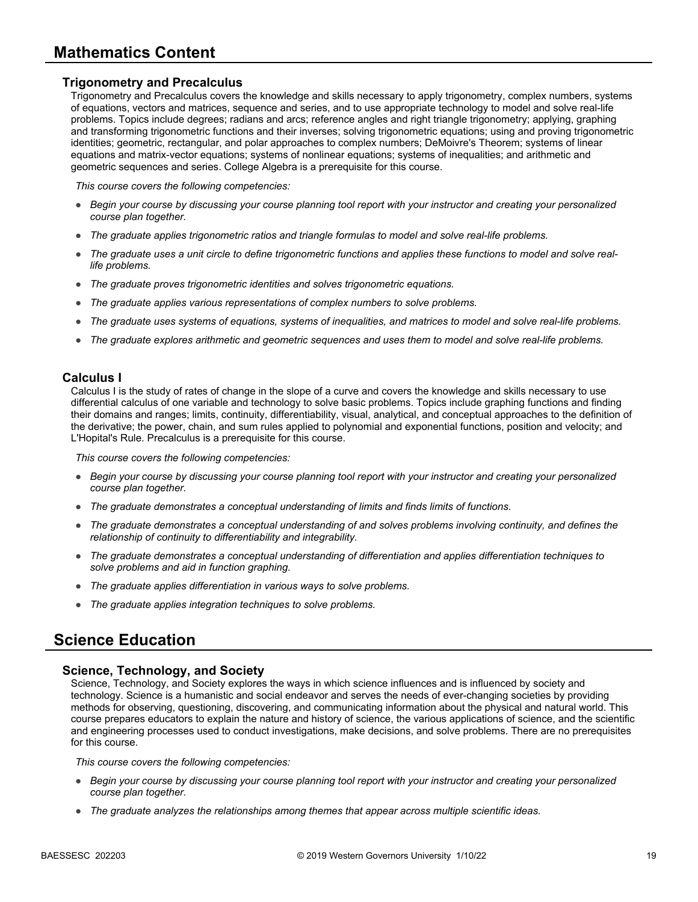#### **Trigonometry and Precalculus**

Trigonometry and Precalculus covers the knowledge and skills necessary to apply trigonometry, complex numbers, systems of equations, vectors and matrices, sequence and series, and to use appropriate technology to model and solve real-life problems. Topics include degrees; radians and arcs; reference angles and right triangle trigonometry; applying, graphing and transforming trigonometric functions and their inverses; solving trigonometric equations; using and proving trigonometric identities; geometric, rectangular, and polar approaches to complex numbers; DeMoivre's Theorem; systems of linear equations and matrix-vector equations; systems of nonlinear equations; systems of inequalities; and arithmetic and geometric sequences and series. College Algebra is a prerequisite for this course.

*This course covers the following competencies:*

- *Begin your course by discussing your course planning tool report with your instructor and creating your personalized course plan together.*
- *The graduate applies trigonometric ratios and triangle formulas to model and solve real-life problems.*
- *The graduate uses a unit circle to define trigonometric functions and applies these functions to model and solve reallife problems.*
- *The graduate proves trigonometric identities and solves trigonometric equations.*
- *The graduate applies various representations of complex numbers to solve problems.*
- *The graduate uses systems of equations, systems of inequalities, and matrices to model and solve real-life problems.*
- *The graduate explores arithmetic and geometric sequences and uses them to model and solve real-life problems.*

#### **Calculus I**

Calculus I is the study of rates of change in the slope of a curve and covers the knowledge and skills necessary to use differential calculus of one variable and technology to solve basic problems. Topics include graphing functions and finding their domains and ranges; limits, continuity, differentiability, visual, analytical, and conceptual approaches to the definition of the derivative; the power, chain, and sum rules applied to polynomial and exponential functions, position and velocity; and L'Hopital's Rule. Precalculus is a prerequisite for this course.

*This course covers the following competencies:*

- *Begin your course by discussing your course planning tool report with your instructor and creating your personalized course plan together.*
- *The graduate demonstrates a conceptual understanding of limits and finds limits of functions.*
- *The graduate demonstrates a conceptual understanding of and solves problems involving continuity, and defines the relationship of continuity to differentiability and integrability.*
- *The graduate demonstrates a conceptual understanding of differentiation and applies differentiation techniques to solve problems and aid in function graphing.*
- *The graduate applies differentiation in various ways to solve problems.*
- *The graduate applies integration techniques to solve problems.*

## **Science Education**

#### **Science, Technology, and Society**

Science, Technology, and Society explores the ways in which science influences and is influenced by society and technology. Science is a humanistic and social endeavor and serves the needs of ever-changing societies by providing methods for observing, questioning, discovering, and communicating information about the physical and natural world. This course prepares educators to explain the nature and history of science, the various applications of science, and the scientific and engineering processes used to conduct investigations, make decisions, and solve problems. There are no prerequisites for this course.

- *Begin your course by discussing your course planning tool report with your instructor and creating your personalized course plan together.*
- *The graduate analyzes the relationships among themes that appear across multiple scientific ideas.*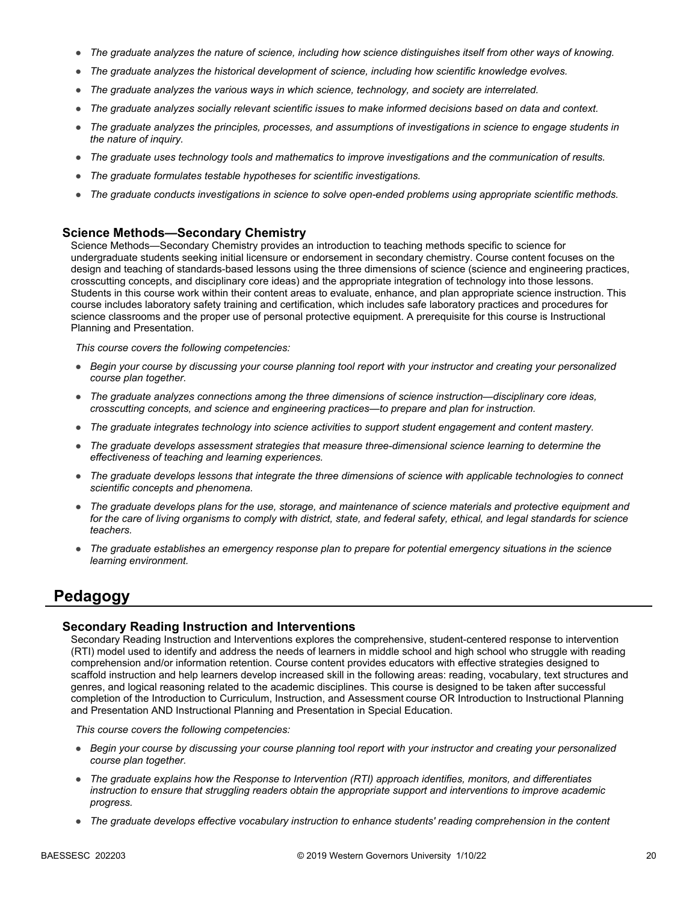- *The graduate analyzes the nature of science, including how science distinguishes itself from other ways of knowing.*
- *The graduate analyzes the historical development of science, including how scientific knowledge evolves.*
- *The graduate analyzes the various ways in which science, technology, and society are interrelated.*
- *The graduate analyzes socially relevant scientific issues to make informed decisions based on data and context.*
- *The graduate analyzes the principles, processes, and assumptions of investigations in science to engage students in the nature of inquiry.*
- *The graduate uses technology tools and mathematics to improve investigations and the communication of results.*
- *The graduate formulates testable hypotheses for scientific investigations.*
- *The graduate conducts investigations in science to solve open-ended problems using appropriate scientific methods.*

#### **Science Methods—Secondary Chemistry**

Science Methods—Secondary Chemistry provides an introduction to teaching methods specific to science for undergraduate students seeking initial licensure or endorsement in secondary chemistry. Course content focuses on the design and teaching of standards-based lessons using the three dimensions of science (science and engineering practices, crosscutting concepts, and disciplinary core ideas) and the appropriate integration of technology into those lessons. Students in this course work within their content areas to evaluate, enhance, and plan appropriate science instruction. This course includes laboratory safety training and certification, which includes safe laboratory practices and procedures for science classrooms and the proper use of personal protective equipment. A prerequisite for this course is Instructional Planning and Presentation.

*This course covers the following competencies:*

- *Begin your course by discussing your course planning tool report with your instructor and creating your personalized course plan together.*
- *The graduate analyzes connections among the three dimensions of science instruction—disciplinary core ideas, crosscutting concepts, and science and engineering practices—to prepare and plan for instruction.*
- *The graduate integrates technology into science activities to support student engagement and content mastery.*
- *The graduate develops assessment strategies that measure three-dimensional science learning to determine the effectiveness of teaching and learning experiences.*
- *The graduate develops lessons that integrate the three dimensions of science with applicable technologies to connect scientific concepts and phenomena.*
- *The graduate develops plans for the use, storage, and maintenance of science materials and protective equipment and for the care of living organisms to comply with district, state, and federal safety, ethical, and legal standards for science teachers.*
- *The graduate establishes an emergency response plan to prepare for potential emergency situations in the science learning environment.*

## **Pedagogy**

#### **Secondary Reading Instruction and Interventions**

Secondary Reading Instruction and Interventions explores the comprehensive, student-centered response to intervention (RTI) model used to identify and address the needs of learners in middle school and high school who struggle with reading comprehension and/or information retention. Course content provides educators with effective strategies designed to scaffold instruction and help learners develop increased skill in the following areas: reading, vocabulary, text structures and genres, and logical reasoning related to the academic disciplines. This course is designed to be taken after successful completion of the Introduction to Curriculum, Instruction, and Assessment course OR Introduction to Instructional Planning and Presentation AND Instructional Planning and Presentation in Special Education.

- *Begin your course by discussing your course planning tool report with your instructor and creating your personalized course plan together.*
- *The graduate explains how the Response to Intervention (RTI) approach identifies, monitors, and differentiates instruction to ensure that struggling readers obtain the appropriate support and interventions to improve academic progress.*
- *The graduate develops effective vocabulary instruction to enhance students' reading comprehension in the content*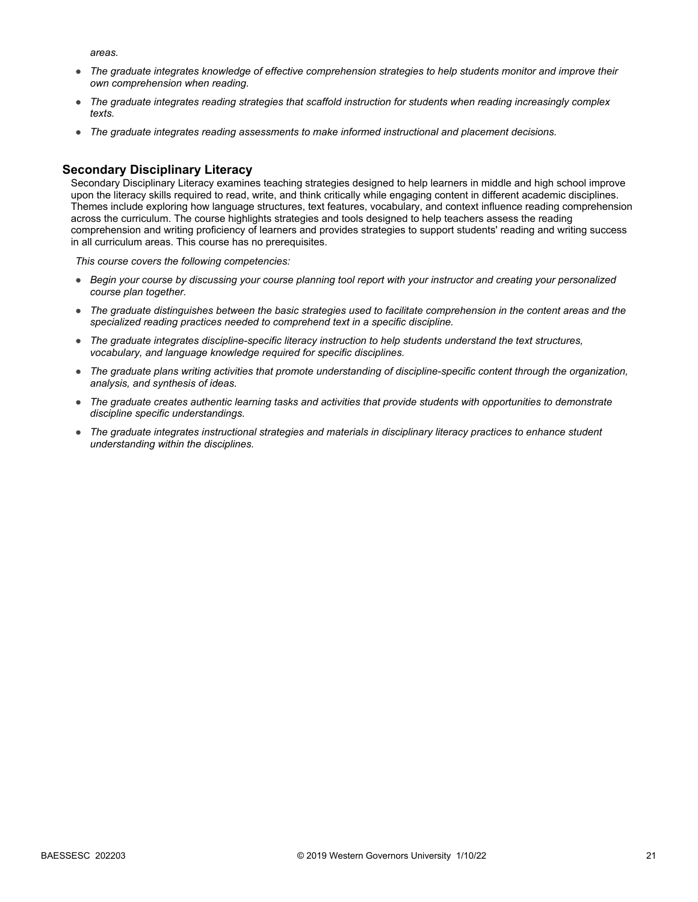*areas.* 

- *The graduate integrates knowledge of effective comprehension strategies to help students monitor and improve their own comprehension when reading.*
- *The graduate integrates reading strategies that scaffold instruction for students when reading increasingly complex texts.*
- *The graduate integrates reading assessments to make informed instructional and placement decisions.*

#### **Secondary Disciplinary Literacy**

Secondary Disciplinary Literacy examines teaching strategies designed to help learners in middle and high school improve upon the literacy skills required to read, write, and think critically while engaging content in different academic disciplines. Themes include exploring how language structures, text features, vocabulary, and context influence reading comprehension across the curriculum. The course highlights strategies and tools designed to help teachers assess the reading comprehension and writing proficiency of learners and provides strategies to support students' reading and writing success in all curriculum areas. This course has no prerequisites.

- *Begin your course by discussing your course planning tool report with your instructor and creating your personalized course plan together.*
- *The graduate distinguishes between the basic strategies used to facilitate comprehension in the content areas and the specialized reading practices needed to comprehend text in a specific discipline.*
- *The graduate integrates discipline-specific literacy instruction to help students understand the text structures, vocabulary, and language knowledge required for specific disciplines.*
- *The graduate plans writing activities that promote understanding of discipline-specific content through the organization, analysis, and synthesis of ideas.*
- *The graduate creates authentic learning tasks and activities that provide students with opportunities to demonstrate discipline specific understandings.*
- *The graduate integrates instructional strategies and materials in disciplinary literacy practices to enhance student understanding within the disciplines.*